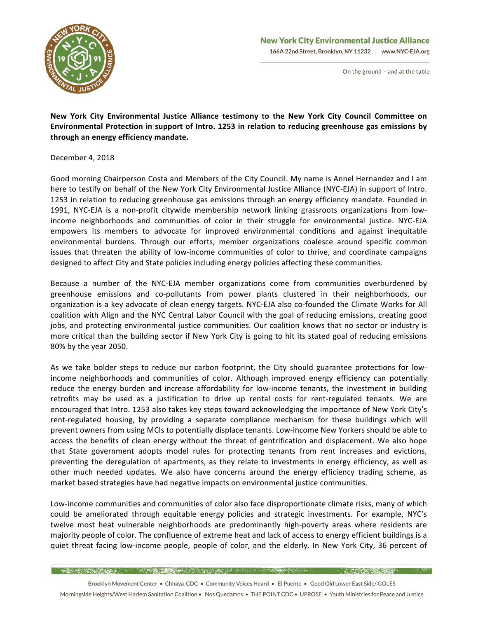

## **New York City Environmental Justice Alliance** 166A 22nd Street, Brooklyn, NY 11232 | www.NYC-EJA.org

On the ground - and at the table

New York City Environmental Justice Alliance testimony to the New York City Council Committee on Environmental Protection in support of Intro. 1253 in relation to reducing greenhouse gas emissions by **through an energy efficiency mandate.**

December 4, 2018

Good morning Chairperson Costa and Members of the City Council. My name is Annel Hernandez and I am here to testify on behalf of the New York City Environmental Justice Alliance (NYC-EJA) in support of Intro. 1253 in relation to reducing greenhouse gas emissions through an energy efficiency mandate. Founded in 1991, NYC-EJA is a non-profit citywide membership network linking grassroots organizations from lowincome neighborhoods and communities of color in their struggle for environmental justice. NYC-EJA empowers its members to advocate for improved environmental conditions and against inequitable environmental burdens. Through our efforts, member organizations coalesce around specific common issues that threaten the ability of low-income communities of color to thrive, and coordinate campaigns designed to affect City and State policies including energy policies affecting these communities.

Because a number of the NYC-EJA member organizations come from communities overburdened by greenhouse emissions and co-pollutants from power plants clustered in their neighborhoods, our organization is a key advocate of clean energy targets. NYC-EJA also co-founded the Climate Works for All coalition with Align and the NYC Central Labor Council with the goal of reducing emissions, creating good jobs, and protecting environmental justice communities. Our coalition knows that no sector or industry is more critical than the building sector if New York City is going to hit its stated goal of reducing emissions 80% by the year 2050.

As we take bolder steps to reduce our carbon footprint, the City should guarantee protections for lowincome neighborhoods and communities of color. Although improved energy efficiency can potentially reduce the energy burden and increase affordability for low-income tenants, the investment in building retrofits may be used as a justification to drive up rental costs for rent-regulated tenants. We are encouraged that Intro. 1253 also takes key steps toward acknowledging the importance of New York City's rent-regulated housing, by providing a separate compliance mechanism for these buildings which will prevent owners from using MCIs to potentially displace tenants. Low-income New Yorkers should be able to access the benefits of clean energy without the threat of gentrification and displacement. We also hope that State government adopts model rules for protecting tenants from rent increases and evictions, preventing the deregulation of apartments, as they relate to investments in energy efficiency, as well as other much needed updates. We also have concerns around the energy efficiency trading scheme, as market based strategies have had negative impacts on environmental justice communities.

Low-income communities and communities of color also face disproportionate climate risks, many of which could be ameliorated through equitable energy policies and strategic investments. For example, NYC's twelve most heat vulnerable neighborhoods are predominantly high-poverty areas where residents are majority people of color. The confluence of extreme heat and lack of access to energy efficient buildings is a quiet threat facing low-income people, people of color, and the elderly. In New York City, 36 percent of